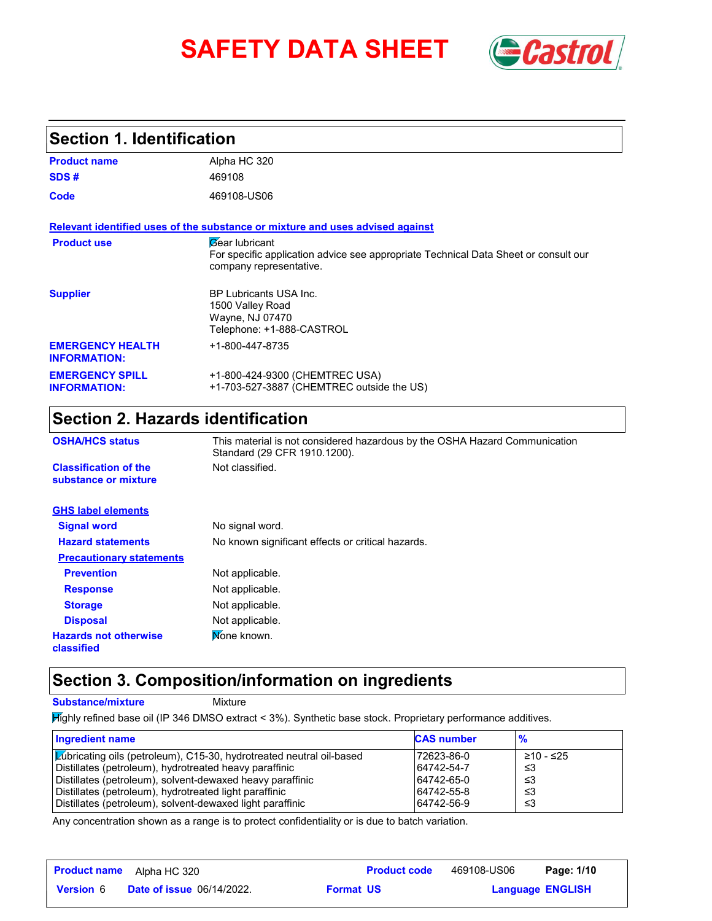# **SAFETY DATA SHEET** *Castrol*



## **Section 1. Identification**

| <b>Product name</b>                            | Alpha HC 320                                                                                                                                   |
|------------------------------------------------|------------------------------------------------------------------------------------------------------------------------------------------------|
| SDS#                                           | 469108                                                                                                                                         |
| Code                                           | 469108-US06                                                                                                                                    |
|                                                | Relevant identified uses of the substance or mixture and uses advised against                                                                  |
| <b>Product use</b>                             | <b><i>Gear</i></b> lubricant<br>For specific application advice see appropriate Technical Data Sheet or consult our<br>company representative. |
| <b>Supplier</b>                                | <b>BP Lubricants USA Inc.</b><br>1500 Valley Road<br>Wayne, NJ 07470<br>Telephone: +1-888-CASTROL                                              |
| <b>EMERGENCY HEALTH</b><br><b>INFORMATION:</b> | +1-800-447-8735                                                                                                                                |
| <b>EMERGENCY SPILL</b><br><b>INFORMATION:</b>  | +1-800-424-9300 (CHEMTREC USA)<br>+1-703-527-3887 (CHEMTREC outside the US)                                                                    |

## **Section 2. Hazards identification**

| <b>OSHA/HCS status</b>                               | This material is not considered hazardous by the OSHA Hazard Communication<br>Standard (29 CFR 1910.1200). |  |  |
|------------------------------------------------------|------------------------------------------------------------------------------------------------------------|--|--|
| <b>Classification of the</b><br>substance or mixture | Not classified.                                                                                            |  |  |
| <b>GHS label elements</b>                            |                                                                                                            |  |  |
| <b>Signal word</b>                                   | No signal word.                                                                                            |  |  |
| <b>Hazard statements</b>                             | No known significant effects or critical hazards.                                                          |  |  |
| <b>Precautionary statements</b>                      |                                                                                                            |  |  |
| <b>Prevention</b>                                    | Not applicable.                                                                                            |  |  |
| <b>Response</b>                                      | Not applicable.                                                                                            |  |  |
| <b>Storage</b>                                       | Not applicable.                                                                                            |  |  |
| <b>Disposal</b>                                      | Not applicable.                                                                                            |  |  |
| <b>Hazards not otherwise</b><br>classified           | Mone known.                                                                                                |  |  |

## **Section 3. Composition/information on ingredients**

**Substance/mixture Mixture** 

Highly refined base oil (IP 346 DMSO extract < 3%). Synthetic base stock. Proprietary performance additives.

| Ingredient name                                                             | <b>CAS number</b> | $\frac{9}{6}$ |
|-----------------------------------------------------------------------------|-------------------|---------------|
| <b>Zubricating oils (petroleum), C15-30, hydrotreated neutral oil-based</b> | 72623-86-0        | ≥10 - ≤25     |
| Distillates (petroleum), hydrotreated heavy paraffinic                      | 64742-54-7        | -≤3           |
| Distillates (petroleum), solvent-dewaxed heavy paraffinic                   | 64742-65-0        | -≤3           |
| Distillates (petroleum), hydrotreated light paraffinic                      | 64742-55-8        | -≤3           |
| Distillates (petroleum), solvent-dewaxed light paraffinic                   | 64742-56-9        | -≤3           |

Any concentration shown as a range is to protect confidentiality or is due to batch variation.

| <b>Product name</b> | Alpha HC 320                     |                  | <b>Product code</b> | 469108-US06 | Page: 1/10              |  |
|---------------------|----------------------------------|------------------|---------------------|-------------|-------------------------|--|
| <b>Version 6</b>    | <b>Date of issue 06/14/2022.</b> | <b>Format US</b> |                     |             | <b>Language ENGLISH</b> |  |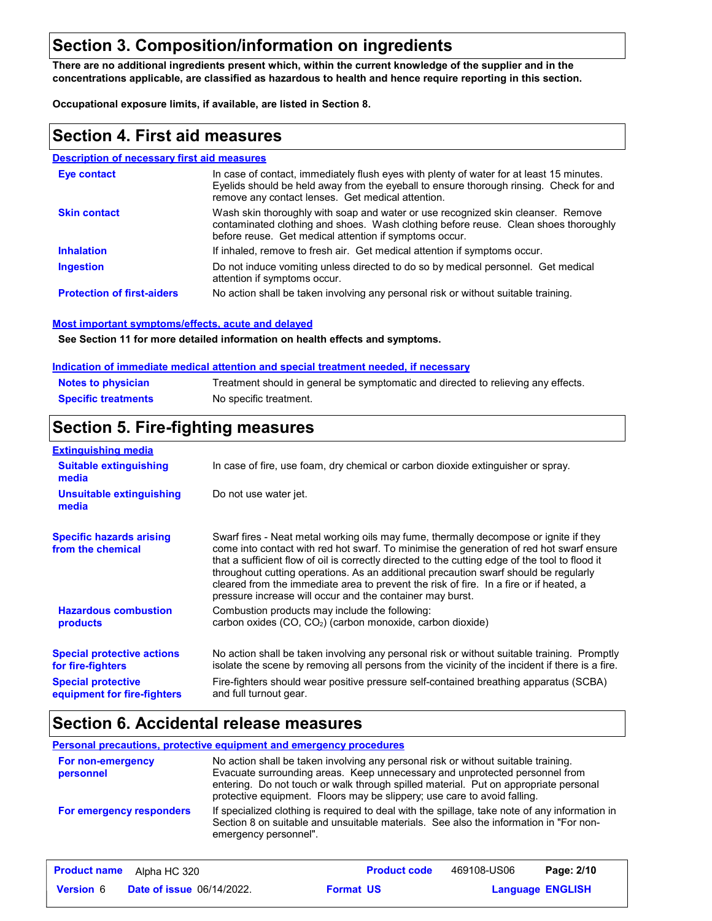## **Section 3. Composition/information on ingredients**

**There are no additional ingredients present which, within the current knowledge of the supplier and in the concentrations applicable, are classified as hazardous to health and hence require reporting in this section.**

**Occupational exposure limits, if available, are listed in Section 8.**

## **Section 4. First aid measures**

#### **Description of necessary first aid measures**

| Eye contact                       | In case of contact, immediately flush eyes with plenty of water for at least 15 minutes.<br>Eyelids should be held away from the eyeball to ensure thorough rinsing. Check for and<br>remove any contact lenses. Get medical attention. |
|-----------------------------------|-----------------------------------------------------------------------------------------------------------------------------------------------------------------------------------------------------------------------------------------|
| <b>Skin contact</b>               | Wash skin thoroughly with soap and water or use recognized skin cleanser. Remove<br>contaminated clothing and shoes. Wash clothing before reuse. Clean shoes thoroughly<br>before reuse. Get medical attention if symptoms occur.       |
| <b>Inhalation</b>                 | If inhaled, remove to fresh air. Get medical attention if symptoms occur.                                                                                                                                                               |
| <b>Ingestion</b>                  | Do not induce vomiting unless directed to do so by medical personnel. Get medical<br>attention if symptoms occur.                                                                                                                       |
| <b>Protection of first-aiders</b> | No action shall be taken involving any personal risk or without suitable training.                                                                                                                                                      |

#### **Most important symptoms/effects, acute and delayed**

**See Section 11 for more detailed information on health effects and symptoms.**

#### **Indication of immediate medical attention and special treatment needed, if necessary**

| <b>Notes to physician</b>  | Treatment should in general be symptomatic and directed to relieving any effects. |
|----------------------------|-----------------------------------------------------------------------------------|
| <b>Specific treatments</b> | No specific treatment.                                                            |

## **Section 5. Fire-fighting measures**

| <b>Extinguishing media</b>                               |                                                                                                                                                                                                                                                                                                                                                                                                                                                                                                                                     |  |  |
|----------------------------------------------------------|-------------------------------------------------------------------------------------------------------------------------------------------------------------------------------------------------------------------------------------------------------------------------------------------------------------------------------------------------------------------------------------------------------------------------------------------------------------------------------------------------------------------------------------|--|--|
| <b>Suitable extinguishing</b><br>media                   | In case of fire, use foam, dry chemical or carbon dioxide extinguisher or spray.                                                                                                                                                                                                                                                                                                                                                                                                                                                    |  |  |
| <b>Unsuitable extinguishing</b><br>media                 | Do not use water jet.                                                                                                                                                                                                                                                                                                                                                                                                                                                                                                               |  |  |
| <b>Specific hazards arising</b><br>from the chemical     | Swarf fires - Neat metal working oils may fume, thermally decompose or ignite if they<br>come into contact with red hot swarf. To minimise the generation of red hot swarf ensure<br>that a sufficient flow of oil is correctly directed to the cutting edge of the tool to flood it<br>throughout cutting operations. As an additional precaution swarf should be regularly<br>cleared from the immediate area to prevent the risk of fire. In a fire or if heated, a<br>pressure increase will occur and the container may burst. |  |  |
| <b>Hazardous combustion</b><br><b>products</b>           | Combustion products may include the following:<br>carbon oxides $(CO, CO2)$ (carbon monoxide, carbon dioxide)                                                                                                                                                                                                                                                                                                                                                                                                                       |  |  |
| <b>Special protective actions</b><br>for fire-fighters   | No action shall be taken involving any personal risk or without suitable training. Promptly<br>isolate the scene by removing all persons from the vicinity of the incident if there is a fire.                                                                                                                                                                                                                                                                                                                                      |  |  |
| <b>Special protective</b><br>equipment for fire-fighters | Fire-fighters should wear positive pressure self-contained breathing apparatus (SCBA)<br>and full turnout gear.                                                                                                                                                                                                                                                                                                                                                                                                                     |  |  |

## **Section 6. Accidental release measures**

#### **Personal precautions, protective equipment and emergency procedures**

| For non-emergency<br>personnel | No action shall be taken involving any personal risk or without suitable training.<br>Evacuate surrounding areas. Keep unnecessary and unprotected personnel from<br>entering. Do not touch or walk through spilled material. Put on appropriate personal<br>protective equipment. Floors may be slippery; use care to avoid falling. |
|--------------------------------|---------------------------------------------------------------------------------------------------------------------------------------------------------------------------------------------------------------------------------------------------------------------------------------------------------------------------------------|
| For emergency responders       | If specialized clothing is required to deal with the spillage, take note of any information in<br>Section 8 on suitable and unsuitable materials. See also the information in "For non-<br>emergency personnel".                                                                                                                      |

|                  | <b>Product name</b> Alpha HC 320 |                  | <b>Product code</b> | 469108-US06             | Page: 2/10 |  |
|------------------|----------------------------------|------------------|---------------------|-------------------------|------------|--|
| <b>Version</b> 6 | <b>Date of issue 06/14/2022.</b> | <b>Format US</b> |                     | <b>Language ENGLISH</b> |            |  |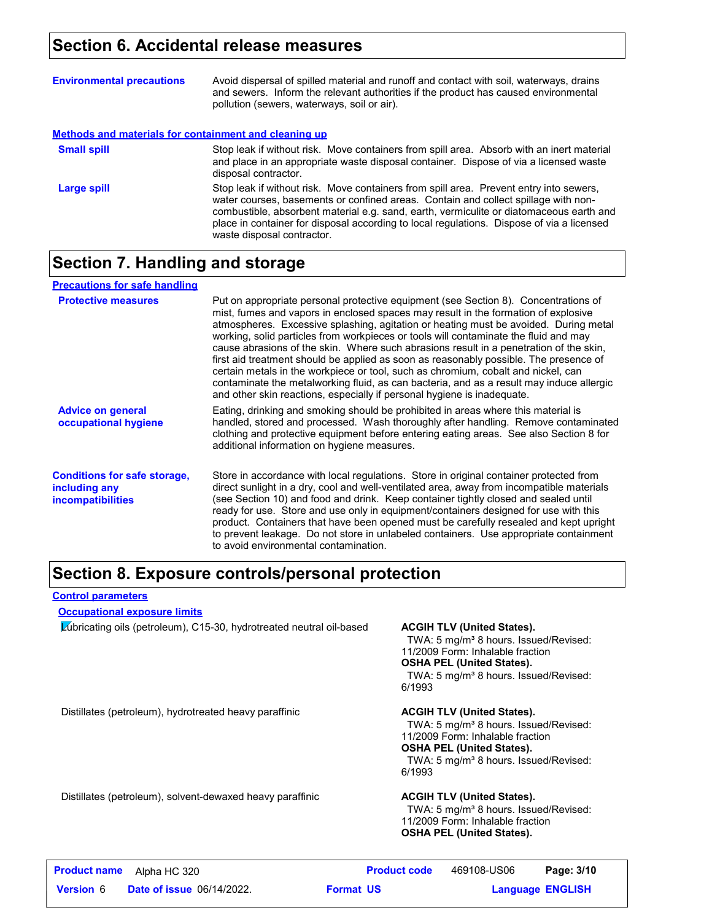## **Section 6. Accidental release measures**

| <b>Environmental precautions</b>                      | Avoid dispersal of spilled material and runoff and contact with soil, waterways, drains<br>and sewers. Inform the relevant authorities if the product has caused environmental<br>pollution (sewers, waterways, soil or air).                                                                                                                                                                      |
|-------------------------------------------------------|----------------------------------------------------------------------------------------------------------------------------------------------------------------------------------------------------------------------------------------------------------------------------------------------------------------------------------------------------------------------------------------------------|
| Methods and materials for containment and cleaning up |                                                                                                                                                                                                                                                                                                                                                                                                    |
| <b>Small spill</b>                                    | Stop leak if without risk. Move containers from spill area. Absorb with an inert material<br>and place in an appropriate waste disposal container. Dispose of via a licensed waste<br>disposal contractor.                                                                                                                                                                                         |
| Large spill                                           | Stop leak if without risk. Move containers from spill area. Prevent entry into sewers,<br>water courses, basements or confined areas. Contain and collect spillage with non-<br>combustible, absorbent material e.g. sand, earth, vermiculite or diatomaceous earth and<br>place in container for disposal according to local regulations. Dispose of via a licensed<br>waste disposal contractor. |

## **Section 7. Handling and storage**

| <b>Precautions for safe handling</b>                                             |                                                                                                                                                                                                                                                                                                                                                                                                                                                                                                                                                                                                                                                                                                                                                                                                          |
|----------------------------------------------------------------------------------|----------------------------------------------------------------------------------------------------------------------------------------------------------------------------------------------------------------------------------------------------------------------------------------------------------------------------------------------------------------------------------------------------------------------------------------------------------------------------------------------------------------------------------------------------------------------------------------------------------------------------------------------------------------------------------------------------------------------------------------------------------------------------------------------------------|
| <b>Protective measures</b>                                                       | Put on appropriate personal protective equipment (see Section 8). Concentrations of<br>mist, fumes and vapors in enclosed spaces may result in the formation of explosive<br>atmospheres. Excessive splashing, agitation or heating must be avoided. During metal<br>working, solid particles from workpieces or tools will contaminate the fluid and may<br>cause abrasions of the skin. Where such abrasions result in a penetration of the skin,<br>first aid treatment should be applied as soon as reasonably possible. The presence of<br>certain metals in the workpiece or tool, such as chromium, cobalt and nickel, can<br>contaminate the metalworking fluid, as can bacteria, and as a result may induce allergic<br>and other skin reactions, especially if personal hygiene is inadequate. |
| <b>Advice on general</b><br>occupational hygiene                                 | Eating, drinking and smoking should be prohibited in areas where this material is<br>handled, stored and processed. Wash thoroughly after handling. Remove contaminated<br>clothing and protective equipment before entering eating areas. See also Section 8 for<br>additional information on hygiene measures.                                                                                                                                                                                                                                                                                                                                                                                                                                                                                         |
| <b>Conditions for safe storage,</b><br>including any<br><i>incompatibilities</i> | Store in accordance with local regulations. Store in original container protected from<br>direct sunlight in a dry, cool and well-ventilated area, away from incompatible materials<br>(see Section 10) and food and drink. Keep container tightly closed and sealed until<br>ready for use. Store and use only in equipment/containers designed for use with this<br>product. Containers that have been opened must be carefully resealed and kept upright<br>to prevent leakage. Do not store in unlabeled containers. Use appropriate containment<br>to avoid environmental contamination.                                                                                                                                                                                                            |

## **Section 8. Exposure controls/personal protection**

#### **Control parameters**

#### **Occupational exposure limits**

Lubricating oils (petroleum), C15-30, hydrotreated neutral oil-based **ACGIH TLV (United States).**

TWA: 5 mg/m<sup>3</sup> 8 hours. Issued/Revised: 11/2009 Form: Inhalable fraction **OSHA PEL (United States).**

TWA: 5 mg/m<sup>3</sup> 8 hours. Issued/Revised: 6/1993

Distillates (petroleum), hydrotreated heavy paraffinic **ACGIH TLV (United States).**

TWA: 5 mg/m<sup>3</sup> 8 hours. Issued/Revised: 11/2009 Form: Inhalable fraction **OSHA PEL (United States).** TWA: 5 mg/m<sup>3</sup> 8 hours. Issued/Revised: 6/1993

Distillates (petroleum), solvent-dewaxed heavy paraffinic **ACGIH TLV (United States).**

TWA: 5 mg/m<sup>3</sup> 8 hours. Issued/Revised: 11/2009 Form: Inhalable fraction **OSHA PEL (United States).**

| <b>Product name</b> | Alpha HC 320                     |                  | <b>Product code</b> | 469108-US06 | Page: 3/10              |  |
|---------------------|----------------------------------|------------------|---------------------|-------------|-------------------------|--|
| <b>Version 6</b>    | <b>Date of issue 06/14/2022.</b> | <b>Format US</b> |                     |             | <b>Language ENGLISH</b> |  |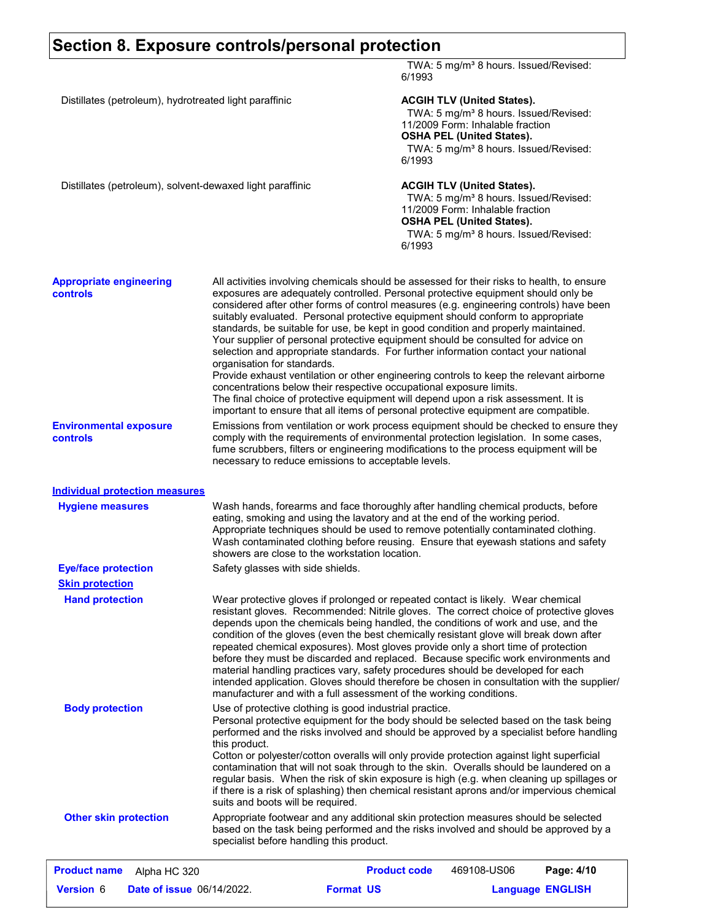## **Section 8. Exposure controls/personal protection**

|                                                           |                                                    | 6/1993                                                                                                                                                                                                                                                                                                                                                                                                                                                                                                                                                                                                                                                                                                                                                                                                                                                                                                                                                                      | TWA: 5 mg/m <sup>3</sup> 8 hours. Issued/Revised:                                                                                                                                                                   |                         |
|-----------------------------------------------------------|----------------------------------------------------|-----------------------------------------------------------------------------------------------------------------------------------------------------------------------------------------------------------------------------------------------------------------------------------------------------------------------------------------------------------------------------------------------------------------------------------------------------------------------------------------------------------------------------------------------------------------------------------------------------------------------------------------------------------------------------------------------------------------------------------------------------------------------------------------------------------------------------------------------------------------------------------------------------------------------------------------------------------------------------|---------------------------------------------------------------------------------------------------------------------------------------------------------------------------------------------------------------------|-------------------------|
| Distillates (petroleum), hydrotreated light paraffinic    |                                                    | 6/1993                                                                                                                                                                                                                                                                                                                                                                                                                                                                                                                                                                                                                                                                                                                                                                                                                                                                                                                                                                      | <b>ACGIH TLV (United States).</b><br>TWA: 5 mg/m <sup>3</sup> 8 hours. Issued/Revised:<br>11/2009 Form: Inhalable fraction<br><b>OSHA PEL (United States).</b><br>TWA: 5 mg/m <sup>3</sup> 8 hours. Issued/Revised: |                         |
| Distillates (petroleum), solvent-dewaxed light paraffinic |                                                    | 6/1993                                                                                                                                                                                                                                                                                                                                                                                                                                                                                                                                                                                                                                                                                                                                                                                                                                                                                                                                                                      | <b>ACGIH TLV (United States).</b><br>TWA: 5 mg/m <sup>3</sup> 8 hours. Issued/Revised:<br>11/2009 Form: Inhalable fraction<br><b>OSHA PEL (United States).</b><br>TWA: 5 mg/m <sup>3</sup> 8 hours. Issued/Revised: |                         |
| <b>Appropriate engineering</b><br><b>controls</b>         | organisation for standards.                        | All activities involving chemicals should be assessed for their risks to health, to ensure<br>exposures are adequately controlled. Personal protective equipment should only be<br>considered after other forms of control measures (e.g. engineering controls) have been<br>suitably evaluated. Personal protective equipment should conform to appropriate<br>standards, be suitable for use, be kept in good condition and properly maintained.<br>Your supplier of personal protective equipment should be consulted for advice on<br>selection and appropriate standards. For further information contact your national<br>Provide exhaust ventilation or other engineering controls to keep the relevant airborne<br>concentrations below their respective occupational exposure limits.<br>The final choice of protective equipment will depend upon a risk assessment. It is<br>important to ensure that all items of personal protective equipment are compatible. |                                                                                                                                                                                                                     |                         |
| <b>Environmental exposure</b><br><b>controls</b>          |                                                    | Emissions from ventilation or work process equipment should be checked to ensure they<br>comply with the requirements of environmental protection legislation. In some cases,<br>fume scrubbers, filters or engineering modifications to the process equipment will be<br>necessary to reduce emissions to acceptable levels.                                                                                                                                                                                                                                                                                                                                                                                                                                                                                                                                                                                                                                               |                                                                                                                                                                                                                     |                         |
| <b>Individual protection measures</b>                     |                                                    |                                                                                                                                                                                                                                                                                                                                                                                                                                                                                                                                                                                                                                                                                                                                                                                                                                                                                                                                                                             |                                                                                                                                                                                                                     |                         |
| <b>Hygiene measures</b>                                   |                                                    | Wash hands, forearms and face thoroughly after handling chemical products, before<br>eating, smoking and using the lavatory and at the end of the working period.<br>Appropriate techniques should be used to remove potentially contaminated clothing.<br>Wash contaminated clothing before reusing. Ensure that eyewash stations and safety<br>showers are close to the workstation location.                                                                                                                                                                                                                                                                                                                                                                                                                                                                                                                                                                             |                                                                                                                                                                                                                     |                         |
| <b>Eye/face protection</b>                                | Safety glasses with side shields.                  |                                                                                                                                                                                                                                                                                                                                                                                                                                                                                                                                                                                                                                                                                                                                                                                                                                                                                                                                                                             |                                                                                                                                                                                                                     |                         |
| <b>Skin protection</b>                                    |                                                    |                                                                                                                                                                                                                                                                                                                                                                                                                                                                                                                                                                                                                                                                                                                                                                                                                                                                                                                                                                             |                                                                                                                                                                                                                     |                         |
| <b>Hand protection</b>                                    |                                                    | Wear protective gloves if prolonged or repeated contact is likely. Wear chemical<br>resistant gloves. Recommended: Nitrile gloves. The correct choice of protective gloves<br>depends upon the chemicals being handled, the conditions of work and use, and the<br>condition of the gloves (even the best chemically resistant glove will break down after<br>repeated chemical exposures). Most gloves provide only a short time of protection<br>before they must be discarded and replaced. Because specific work environments and<br>material handling practices vary, safety procedures should be developed for each<br>intended application. Gloves should therefore be chosen in consultation with the supplier/<br>manufacturer and with a full assessment of the working conditions.                                                                                                                                                                               |                                                                                                                                                                                                                     |                         |
| <b>Body protection</b>                                    | this product.<br>suits and boots will be required. | Use of protective clothing is good industrial practice.<br>Personal protective equipment for the body should be selected based on the task being<br>performed and the risks involved and should be approved by a specialist before handling<br>Cotton or polyester/cotton overalls will only provide protection against light superficial<br>contamination that will not soak through to the skin. Overalls should be laundered on a<br>regular basis. When the risk of skin exposure is high (e.g. when cleaning up spillages or<br>if there is a risk of splashing) then chemical resistant aprons and/or impervious chemical                                                                                                                                                                                                                                                                                                                                             |                                                                                                                                                                                                                     |                         |
| <b>Other skin protection</b>                              | specialist before handling this product.           | Appropriate footwear and any additional skin protection measures should be selected<br>based on the task being performed and the risks involved and should be approved by a                                                                                                                                                                                                                                                                                                                                                                                                                                                                                                                                                                                                                                                                                                                                                                                                 |                                                                                                                                                                                                                     |                         |
| <b>Product name</b><br>Alpha HC 320                       |                                                    | <b>Product code</b>                                                                                                                                                                                                                                                                                                                                                                                                                                                                                                                                                                                                                                                                                                                                                                                                                                                                                                                                                         | 469108-US06                                                                                                                                                                                                         | Page: 4/10              |
| Version 6<br><b>Date of issue 06/14/2022.</b>             |                                                    | <b>Format US</b>                                                                                                                                                                                                                                                                                                                                                                                                                                                                                                                                                                                                                                                                                                                                                                                                                                                                                                                                                            |                                                                                                                                                                                                                     | <b>Language ENGLISH</b> |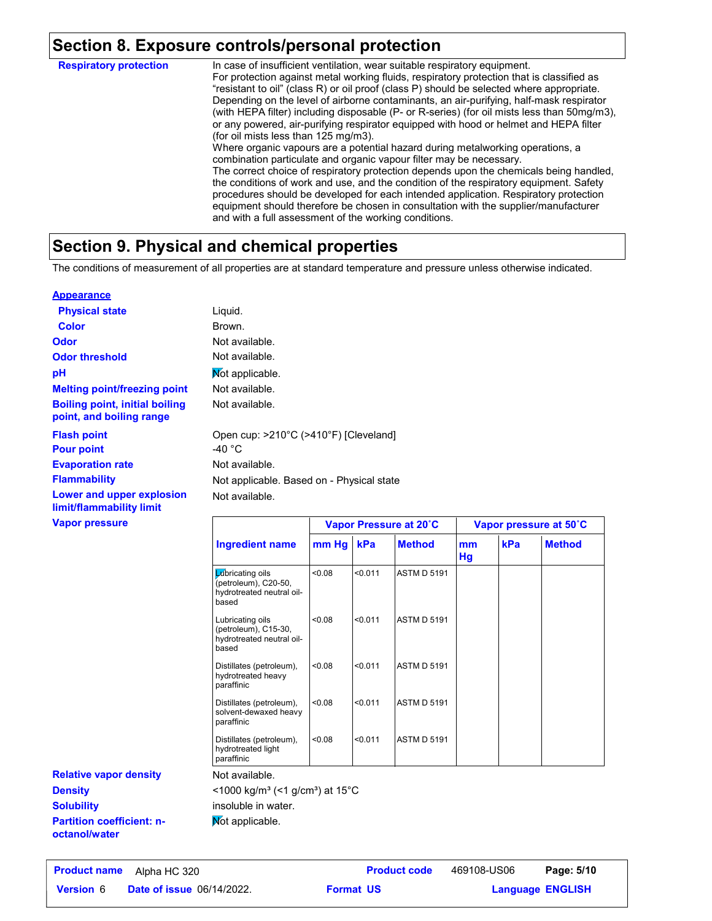## **Section 8. Exposure controls/personal protection**

In case of insufficient ventilation, wear suitable respiratory equipment. For protection against metal working fluids, respiratory protection that is classified as "resistant to oil" (class R) or oil proof (class P) should be selected where appropriate. Depending on the level of airborne contaminants, an air-purifying, half-mask respirator (with HEPA filter) including disposable (P- or R-series) (for oil mists less than 50mg/m3), or any powered, air-purifying respirator equipped with hood or helmet and HEPA filter (for oil mists less than 125 mg/m3). Where organic vapours are a potential hazard during metalworking operations, a combination particulate and organic vapour filter may be necessary. The correct choice of respiratory protection depends upon the chemicals being handled, the conditions of work and use, and the condition of the respiratory equipment. Safety procedures should be developed for each intended application. Respiratory protection equipment should therefore be chosen in consultation with the supplier/manufacturer and with a full assessment of the working conditions. **Respiratory protection**

## **Section 9. Physical and chemical properties**

The conditions of measurement of all properties are at standard temperature and pressure unless otherwise indicated.

#### **Appearance**

| <b>Physical state</b>                                             | Liquid.                                   |                        |
|-------------------------------------------------------------------|-------------------------------------------|------------------------|
| <b>Color</b>                                                      | Brown.                                    |                        |
| <b>Odor</b>                                                       | Not available.                            |                        |
| <b>Odor threshold</b>                                             | Not available.                            |                        |
| рH                                                                | Not applicable.                           |                        |
| <b>Melting point/freezing point</b>                               | Not available.                            |                        |
| <b>Boiling point, initial boiling</b><br>point, and boiling range | Not available.                            |                        |
| <b>Flash point</b>                                                | Open cup: >210°C (>410°F) [Cleveland]     |                        |
| <b>Pour point</b>                                                 | -40 $^{\circ}$ C                          |                        |
| <b>Evaporation rate</b>                                           | Not available.                            |                        |
| <b>Flammability</b>                                               | Not applicable. Based on - Physical state |                        |
| Lower and upper explosion<br>limit/flammability limit             | Not available.                            |                        |
| <b>Vapor pressure</b>                                             |                                           | Vapor Pressure at 20°C |

|                                                                                | Vapor Pressure at 20°C |         |                    | Vapor pressure at 50°C |     |               |
|--------------------------------------------------------------------------------|------------------------|---------|--------------------|------------------------|-----|---------------|
| <b>Ingredient name</b>                                                         | mm Hg                  | kPa     | <b>Method</b>      | mm<br>Hg               | kPa | <b>Method</b> |
| Lubricating oils<br>(petroleum), C20-50,<br>hydrotreated neutral oil-<br>based | 0.08                   | < 0.011 | <b>ASTM D 5191</b> |                        |     |               |
| Lubricating oils<br>(petroleum), C15-30,<br>hydrotreated neutral oil-<br>based | < 0.08                 | < 0.011 | <b>ASTM D 5191</b> |                        |     |               |
| Distillates (petroleum),<br>hydrotreated heavy<br>paraffinic                   | < 0.08                 | < 0.011 | <b>ASTM D 5191</b> |                        |     |               |
| Distillates (petroleum),<br>solvent-dewaxed heavy<br>paraffinic                | < 0.08                 | < 0.011 | <b>ASTM D 5191</b> |                        |     |               |
| Distillates (petroleum),<br>hydrotreated light<br>paraffinic                   | < 0.08                 | < 0.011 | <b>ASTM D 5191</b> |                        |     |               |

**Partition coefficient: noctanol/water Density Solubility Relative vapor density**

#### Not available.

 $<$ 1000 kg/m<sup>3</sup> (<1 g/cm<sup>3</sup>) at 15 $^{\circ}$ C

insoluble in water.

Not applicable.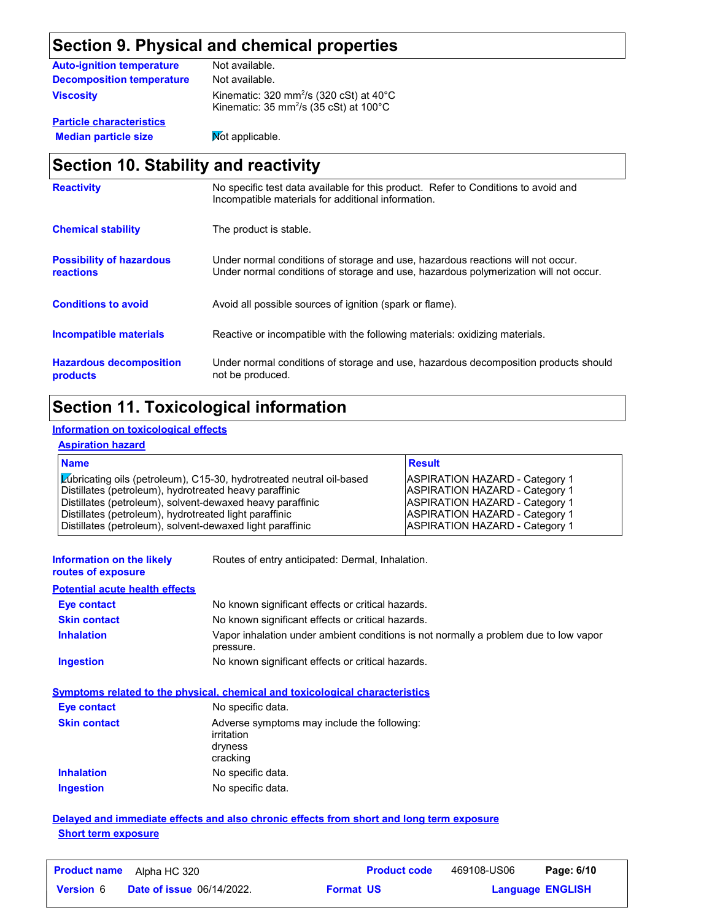## **Section 9. Physical and chemical properties**

| <b>Auto-ignition temperature</b> | Not available.                                                                                                       |
|----------------------------------|----------------------------------------------------------------------------------------------------------------------|
| Decomposition temperature        | Not available.                                                                                                       |
| <b>Viscosity</b>                 | Kinematic: 320 mm <sup>2</sup> /s (320 cSt) at 40 $^{\circ}$ C<br>Kinematic: 35 mm <sup>2</sup> /s (35 cSt) at 100°C |
| <b>Particle characteristics</b>  |                                                                                                                      |

**Median particle size** Not applicable.

## **Section 10. Stability and reactivity**

| <b>Reactivity</b>                            | No specific test data available for this product. Refer to Conditions to avoid and<br>Incompatible materials for additional information.                                |
|----------------------------------------------|-------------------------------------------------------------------------------------------------------------------------------------------------------------------------|
| <b>Chemical stability</b>                    | The product is stable.                                                                                                                                                  |
| <b>Possibility of hazardous</b><br>reactions | Under normal conditions of storage and use, hazardous reactions will not occur.<br>Under normal conditions of storage and use, hazardous polymerization will not occur. |
| <b>Conditions to avoid</b>                   | Avoid all possible sources of ignition (spark or flame).                                                                                                                |
| Incompatible materials                       | Reactive or incompatible with the following materials: oxidizing materials.                                                                                             |
| <b>Hazardous decomposition</b><br>products   | Under normal conditions of storage and use, hazardous decomposition products should<br>not be produced.                                                                 |

## **Section 11. Toxicological information**

#### **Information on toxicological effects**

#### **Aspiration hazard**

| <b>Name</b>                                                                                                                    | <b>Result</b>                                                                  |
|--------------------------------------------------------------------------------------------------------------------------------|--------------------------------------------------------------------------------|
| Lúbricating oils (petroleum), C15-30, hydrotreated neutral oil-based<br>Distillates (petroleum), hydrotreated heavy paraffinic | <b>ASPIRATION HAZARD - Category 1</b><br><b>ASPIRATION HAZARD - Category 1</b> |
| Distillates (petroleum), solvent-dewaxed heavy paraffinic                                                                      | <b>ASPIRATION HAZARD - Category 1</b>                                          |
| Distillates (petroleum), hydrotreated light paraffinic<br>Distillates (petroleum), solvent-dewaxed light paraffinic            | <b>ASPIRATION HAZARD - Category 1</b><br><b>ASPIRATION HAZARD - Category 1</b> |
|                                                                                                                                |                                                                                |

| Information on the likely |  |
|---------------------------|--|
| routes of exposure        |  |

Routes of entry anticipated: Dermal, Inhalation.

#### **Potential acute health effects**

| <b>Eve contact</b>  | No known significant effects or critical hazards.                                                 |
|---------------------|---------------------------------------------------------------------------------------------------|
| <b>Skin contact</b> | No known significant effects or critical hazards.                                                 |
| <b>Inhalation</b>   | Vapor inhalation under ambient conditions is not normally a problem due to low vapor<br>pressure. |
| Ingestion           | No known significant effects or critical hazards.                                                 |

#### **Symptoms related to the physical, chemical and toxicological characteristics**

| <b>Eye contact</b>  | No specific data.                                                                |
|---------------------|----------------------------------------------------------------------------------|
| <b>Skin contact</b> | Adverse symptoms may include the following:<br>irritation<br>dryness<br>cracking |
| <b>Inhalation</b>   | No specific data.                                                                |
| <b>Ingestion</b>    | No specific data.                                                                |

#### **Delayed and immediate effects and also chronic effects from short and long term exposure Short term exposure**

| <b>Product name</b> | Alpha HC 320                     |                  | <b>Product code</b> | 469108-US06             | Page: 6/10 |  |
|---------------------|----------------------------------|------------------|---------------------|-------------------------|------------|--|
| <b>Version 6</b>    | <b>Date of issue 06/14/2022.</b> | <b>Format US</b> |                     | <b>Language ENGLISH</b> |            |  |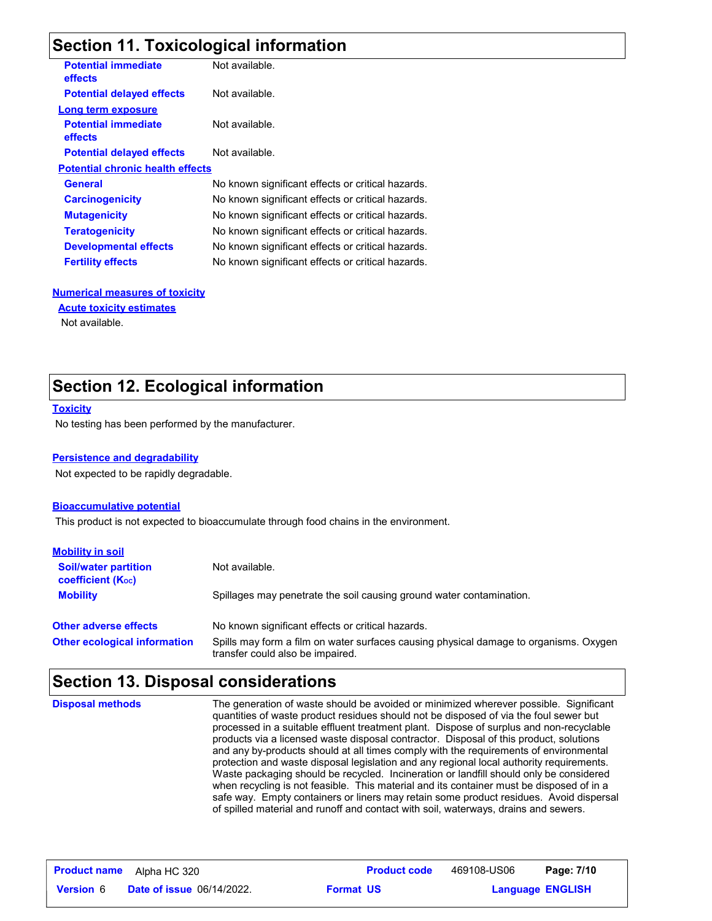## **Section 11. Toxicological information**

| <b>Potential immediate</b><br><b>effects</b> | Not available.                                    |
|----------------------------------------------|---------------------------------------------------|
| <b>Potential delayed effects</b>             | Not available.                                    |
| Long term exposure                           |                                                   |
| <b>Potential immediate</b><br>effects        | Not available.                                    |
| <b>Potential delayed effects</b>             | Not available.                                    |
| <b>Potential chronic health effects</b>      |                                                   |
| <b>General</b>                               | No known significant effects or critical hazards. |
| <b>Carcinogenicity</b>                       | No known significant effects or critical hazards. |
| <b>Mutagenicity</b>                          | No known significant effects or critical hazards. |
| <b>Teratogenicity</b>                        | No known significant effects or critical hazards. |
| <b>Developmental effects</b>                 | No known significant effects or critical hazards. |
| <b>Fertility effects</b>                     | No known significant effects or critical hazards. |
|                                              |                                                   |

#### **Numerical measures of toxicity**

#### **Acute toxicity estimates**

Not available.

## **Section 12. Ecological information**

#### **Toxicity**

No testing has been performed by the manufacturer.

#### **Persistence and degradability**

Not expected to be rapidly degradable.

#### **Bioaccumulative potential**

This product is not expected to bioaccumulate through food chains in the environment.

| <b>Mobility in soil</b>                                 |                                                                                                                           |
|---------------------------------------------------------|---------------------------------------------------------------------------------------------------------------------------|
| <b>Soil/water partition</b><br><b>coefficient (Koc)</b> | Not available.                                                                                                            |
| <b>Mobility</b>                                         | Spillages may penetrate the soil causing ground water contamination.                                                      |
| <b>Other adverse effects</b>                            | No known significant effects or critical hazards.                                                                         |
| <b>Other ecological information</b>                     | Spills may form a film on water surfaces causing physical damage to organisms. Oxygen<br>transfer could also be impaired. |

### **Section 13. Disposal considerations**

The generation of waste should be avoided or minimized wherever possible. Significant quantities of waste product residues should not be disposed of via the foul sewer but processed in a suitable effluent treatment plant. Dispose of surplus and non-recyclable products via a licensed waste disposal contractor. Disposal of this product, solutions and any by-products should at all times comply with the requirements of environmental protection and waste disposal legislation and any regional local authority requirements. Waste packaging should be recycled. Incineration or landfill should only be considered when recycling is not feasible. This material and its container must be disposed of in a safe way. Empty containers or liners may retain some product residues. Avoid dispersal of spilled material and runoff and contact with soil, waterways, drains and sewers. **Disposal methods**

| <b>Product name</b> | Alpha HC 320                     |                  | <b>Product code</b> | 469108-US06             | Page: 7/10 |  |
|---------------------|----------------------------------|------------------|---------------------|-------------------------|------------|--|
| <b>Version 6</b>    | <b>Date of issue 06/14/2022.</b> | <b>Format US</b> |                     | <b>Language ENGLISH</b> |            |  |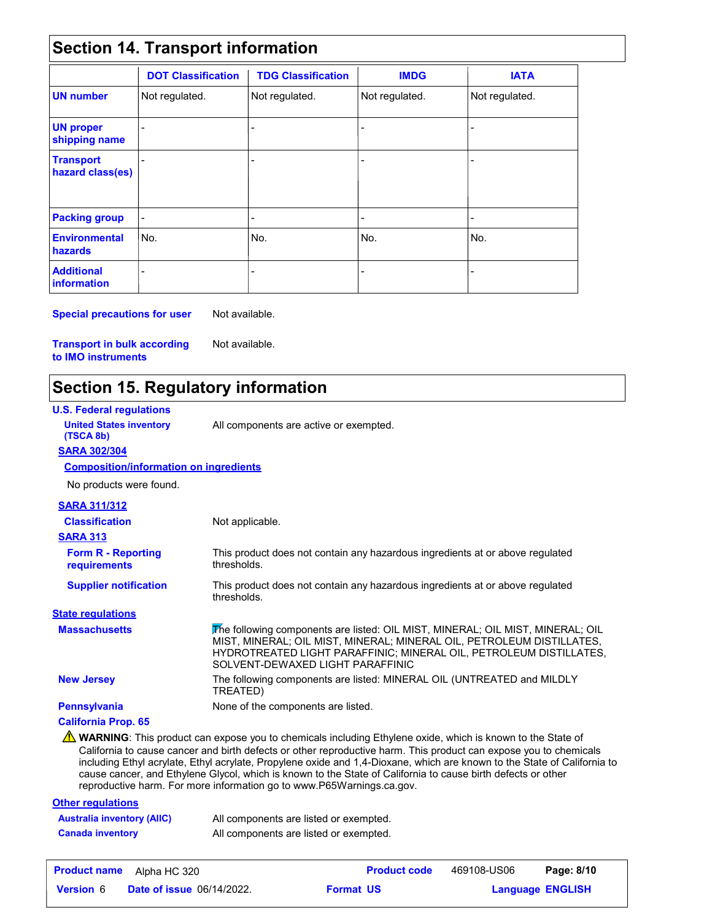## **Section 14. Transport information**

|                                         | <b>DOT Classification</b> | <b>TDG Classification</b> | <b>IMDG</b>    | <b>IATA</b>    |
|-----------------------------------------|---------------------------|---------------------------|----------------|----------------|
| <b>UN number</b>                        | Not regulated.            | Not regulated.            | Not regulated. | Not regulated. |
| <b>UN proper</b><br>shipping name       |                           | -                         | $\overline{a}$ |                |
| <b>Transport</b><br>hazard class(es)    |                           | $\overline{a}$            | $\blacksquare$ |                |
| <b>Packing group</b>                    | $\overline{\phantom{a}}$  | -                         | $\blacksquare$ | ٠              |
| <b>Environmental</b><br>hazards         | No.                       | l No.                     | No.            | No.            |
| <b>Additional</b><br><b>information</b> |                           |                           |                |                |

**Special precautions for user** Not available.

Not available.

**Transport in bulk according to IMO instruments**

## **Section 15. Regulatory information**

| <b>U.S. Federal regulations</b>               |                                                                                                                                                                                                                                                                                                                                                                                                                                                                                                                                                      |
|-----------------------------------------------|------------------------------------------------------------------------------------------------------------------------------------------------------------------------------------------------------------------------------------------------------------------------------------------------------------------------------------------------------------------------------------------------------------------------------------------------------------------------------------------------------------------------------------------------------|
| <b>United States inventory</b><br>(TSCA 8b)   | All components are active or exempted.                                                                                                                                                                                                                                                                                                                                                                                                                                                                                                               |
| <b>SARA 302/304</b>                           |                                                                                                                                                                                                                                                                                                                                                                                                                                                                                                                                                      |
| <b>Composition/information on ingredients</b> |                                                                                                                                                                                                                                                                                                                                                                                                                                                                                                                                                      |
| No products were found.                       |                                                                                                                                                                                                                                                                                                                                                                                                                                                                                                                                                      |
| <b>SARA 311/312</b>                           |                                                                                                                                                                                                                                                                                                                                                                                                                                                                                                                                                      |
| <b>Classification</b>                         | Not applicable.                                                                                                                                                                                                                                                                                                                                                                                                                                                                                                                                      |
| <b>SARA 313</b>                               |                                                                                                                                                                                                                                                                                                                                                                                                                                                                                                                                                      |
| <b>Form R - Reporting</b><br>requirements     | This product does not contain any hazardous ingredients at or above regulated<br>thresholds.                                                                                                                                                                                                                                                                                                                                                                                                                                                         |
| <b>Supplier notification</b>                  | This product does not contain any hazardous ingredients at or above regulated<br>thresholds.                                                                                                                                                                                                                                                                                                                                                                                                                                                         |
| <b>State regulations</b>                      |                                                                                                                                                                                                                                                                                                                                                                                                                                                                                                                                                      |
| <b>Massachusetts</b>                          | The following components are listed: OIL MIST, MINERAL; OIL MIST, MINERAL; OIL<br>MIST, MINERAL; OIL MIST, MINERAL; MINERAL OIL, PETROLEUM DISTILLATES,<br>HYDROTREATED LIGHT PARAFFINIC; MINERAL OIL, PETROLEUM DISTILLATES,<br>SOLVENT-DEWAXED LIGHT PARAFFINIC                                                                                                                                                                                                                                                                                    |
| <b>New Jersey</b>                             | The following components are listed: MINERAL OIL (UNTREATED and MILDLY<br>TREATED)                                                                                                                                                                                                                                                                                                                                                                                                                                                                   |
| <b>Pennsylvania</b>                           | None of the components are listed.                                                                                                                                                                                                                                                                                                                                                                                                                                                                                                                   |
| <b>California Prop. 65</b>                    |                                                                                                                                                                                                                                                                                                                                                                                                                                                                                                                                                      |
|                                               | WARNING: This product can expose you to chemicals including Ethylene oxide, which is known to the State of<br>California to cause cancer and birth defects or other reproductive harm. This product can expose you to chemicals<br>including Ethyl acrylate, Ethyl acrylate, Propylene oxide and 1,4-Dioxane, which are known to the State of California to<br>cause cancer, and Ethylene Glycol, which is known to the State of California to cause birth defects or other<br>reproductive harm. For more information go to www.P65Warnings.ca.gov. |

#### **Other regulations Australia inventory (AIIC)** All components are listed or exempted. **Canada inventory** All components are listed or exempted.

| <b>Product name</b> | Alpha HC 320                     |                  | <b>Product code</b> | 469108-US06             | Page: 8/10 |
|---------------------|----------------------------------|------------------|---------------------|-------------------------|------------|
| <b>Version</b> 6    | <b>Date of issue 06/14/2022.</b> | <b>Format US</b> |                     | <b>Language ENGLISH</b> |            |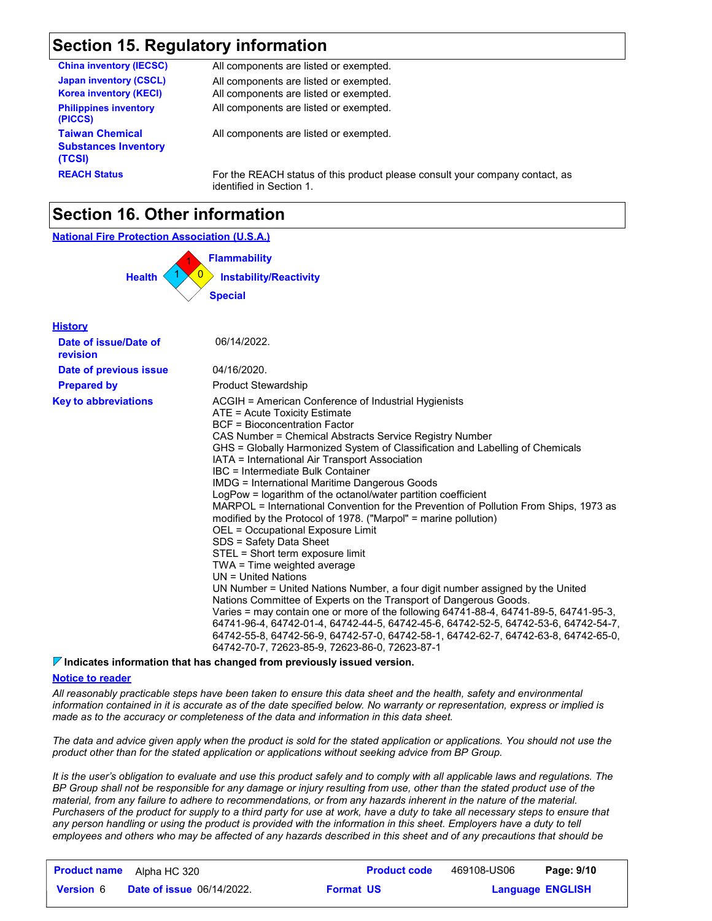## **Section 15. Regulatory information**

| <b>China inventory (IECSC)</b>                                  | All components are listed or exempted.                                                                   |
|-----------------------------------------------------------------|----------------------------------------------------------------------------------------------------------|
| <b>Japan inventory (CSCL)</b><br><b>Korea inventory (KECI)</b>  | All components are listed or exempted.<br>All components are listed or exempted.                         |
| <b>Philippines inventory</b><br>(PICCS)                         | All components are listed or exempted.                                                                   |
| <b>Taiwan Chemical</b><br><b>Substances Inventory</b><br>(TCSI) | All components are listed or exempted.                                                                   |
| <b>REACH Status</b>                                             | For the REACH status of this product please consult your company contact, as<br>identified in Section 1. |

## **Section 16. Other information**



#### **Indicates information that has changed from previously issued version.**

#### **Notice to reader**

*All reasonably practicable steps have been taken to ensure this data sheet and the health, safety and environmental information contained in it is accurate as of the date specified below. No warranty or representation, express or implied is made as to the accuracy or completeness of the data and information in this data sheet.*

*The data and advice given apply when the product is sold for the stated application or applications. You should not use the product other than for the stated application or applications without seeking advice from BP Group.*

*It is the user's obligation to evaluate and use this product safely and to comply with all applicable laws and regulations. The BP Group shall not be responsible for any damage or injury resulting from use, other than the stated product use of the material, from any failure to adhere to recommendations, or from any hazards inherent in the nature of the material. Purchasers of the product for supply to a third party for use at work, have a duty to take all necessary steps to ensure that*  any person handling or using the product is provided with the information in this sheet. Employers have a duty to tell *employees and others who may be affected of any hazards described in this sheet and of any precautions that should be* 

|                  | <b>Product name</b> Alpha HC 320 |                  | <b>Product code</b> | 469108-US06             | Page: 9/10 |
|------------------|----------------------------------|------------------|---------------------|-------------------------|------------|
| <b>Version 6</b> | <b>Date of issue 06/14/2022.</b> | <b>Format US</b> |                     | <b>Language ENGLISH</b> |            |